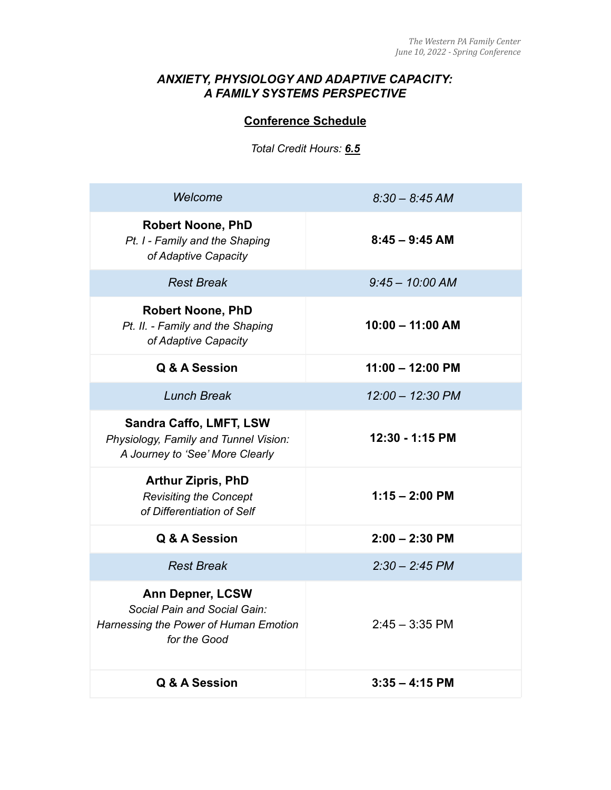# *ANXIETY, PHYSIOLOGY AND ADAPTIVE CAPACITY: A FAMILY SYSTEMS PERSPECTIVE*

# **Conference Schedule**

*Total Credit Hours: 6.5*

| Welcome                                                                                                          | $8.30 - 8.45$ AM           |
|------------------------------------------------------------------------------------------------------------------|----------------------------|
| <b>Robert Noone, PhD</b><br>Pt. I - Family and the Shaping<br>of Adaptive Capacity                               | $8:45 - 9:45$ AM           |
| <b>Rest Break</b>                                                                                                | $9:45 - 10:00$ AM          |
| <b>Robert Noone, PhD</b><br>Pt. II. - Family and the Shaping<br>of Adaptive Capacity                             | $10:00 - 11:00 AM$         |
| Q & A Session                                                                                                    | $11:00 - 12:00 \text{ PM}$ |
| <b>Lunch Break</b>                                                                                               | 12:00 - 12:30 PM           |
| Sandra Caffo, LMFT, LSW<br>Physiology, Family and Tunnel Vision:<br>A Journey to 'See' More Clearly              | 12:30 - 1:15 PM            |
| <b>Arthur Zipris, PhD</b><br><b>Revisiting the Concept</b><br>of Differentiation of Self                         | $1:15 - 2:00$ PM           |
| Q & A Session                                                                                                    | $2:00 - 2:30$ PM           |
| <b>Rest Break</b>                                                                                                | $2:30 - 2:45$ PM           |
| <b>Ann Depner, LCSW</b><br>Social Pain and Social Gain:<br>Harnessing the Power of Human Emotion<br>for the Good | $2:45 - 3:35$ PM           |
| Q & A Session                                                                                                    | $3:35 - 4:15$ PM           |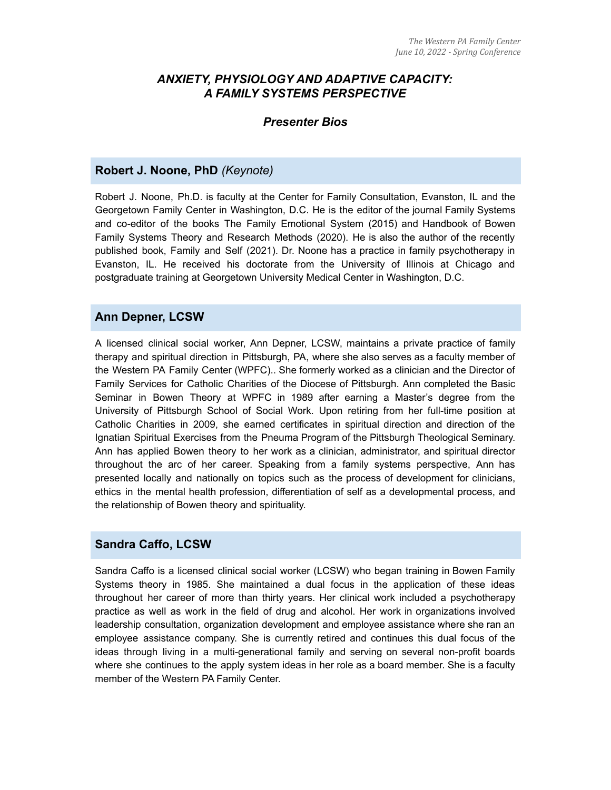### *ANXIETY, PHYSIOLOGY AND ADAPTIVE CAPACITY: A FAMILY SYSTEMS PERSPECTIVE*

#### *Presenter Bios*

#### **Robert J. Noone, PhD** *(Keynote)*

Robert J. Noone, Ph.D. is faculty at the Center for Family Consultation, Evanston, IL and the Georgetown Family Center in Washington, D.C. He is the editor of the journal Family Systems and co-editor of the books The Family Emotional System (2015) and Handbook of Bowen Family Systems Theory and Research Methods (2020). He is also the author of the recently published book, Family and Self (2021). Dr. Noone has a practice in family psychotherapy in Evanston, IL. He received his doctorate from the University of Illinois at Chicago and postgraduate training at Georgetown University Medical Center in Washington, D.C.

#### **Ann Depner, LCSW**

A licensed clinical social worker, Ann Depner, LCSW, maintains a private practice of family therapy and spiritual direction in Pittsburgh, PA, where she also serves as a faculty member of the Western PA Family Center (WPFC).. She formerly worked as a clinician and the Director of Family Services for Catholic Charities of the Diocese of Pittsburgh. Ann completed the Basic Seminar in Bowen Theory at WPFC in 1989 after earning a Master's degree from the University of Pittsburgh School of Social Work. Upon retiring from her full-time position at Catholic Charities in 2009, she earned certificates in spiritual direction and direction of the Ignatian Spiritual Exercises from the Pneuma Program of the Pittsburgh Theological Seminary. Ann has applied Bowen theory to her work as a clinician, administrator, and spiritual director throughout the arc of her career. Speaking from a family systems perspective, Ann has presented locally and nationally on topics such as the process of development for clinicians, ethics in the mental health profession, differentiation of self as a developmental process, and the relationship of Bowen theory and spirituality.

#### **Sandra Caffo, LCSW**

Sandra Caffo is a licensed clinical social worker (LCSW) who began training in Bowen Family Systems theory in 1985. She maintained a dual focus in the application of these ideas throughout her career of more than thirty years. Her clinical work included a psychotherapy practice as well as work in the field of drug and alcohol. Her work in organizations involved leadership consultation, organization development and employee assistance where she ran an employee assistance company. She is currently retired and continues this dual focus of the ideas through living in a multi-generational family and serving on several non-profit boards where she continues to the apply system ideas in her role as a board member. She is a faculty member of the Western PA Family Center.